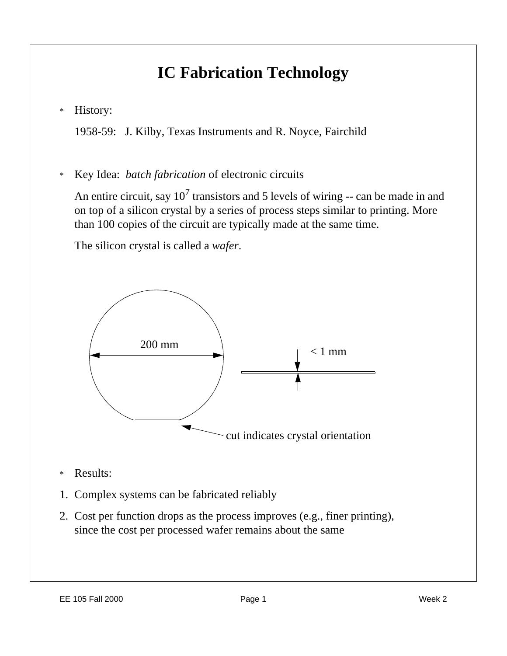## **IC Fabrication Technology**

\* History:

1958-59: J. Kilby, Texas Instruments and R. Noyce, Fairchild

\* Key Idea: *batch fabrication* of electronic circuits

An entire circuit, say  $10^7$  transistors and 5 levels of wiring -- can be made in and on top of a silicon crystal by a series of process steps similar to printing. More than 100 copies of the circuit are typically made at the same time.

The silicon crystal is called a *wafer*.



- \* Results:
- 1. Complex systems can be fabricated reliably
- 2. Cost per function drops as the process improves (e.g., finer printing), since the cost per processed wafer remains about the same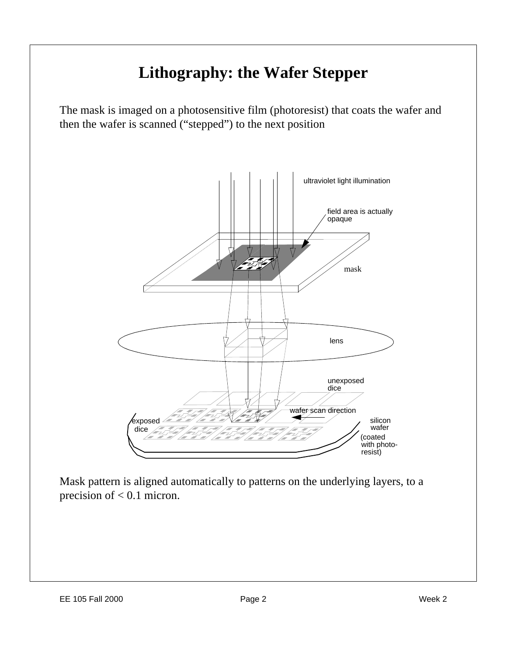## **Lithography: the Wafer Stepper**

The mask is imaged on a photosensitive film (photoresist) that coats the wafer and then the wafer is scanned ("stepped") to the next position



Mask pattern is aligned automatically to patterns on the underlying layers, to a precision of  $< 0.1$  micron.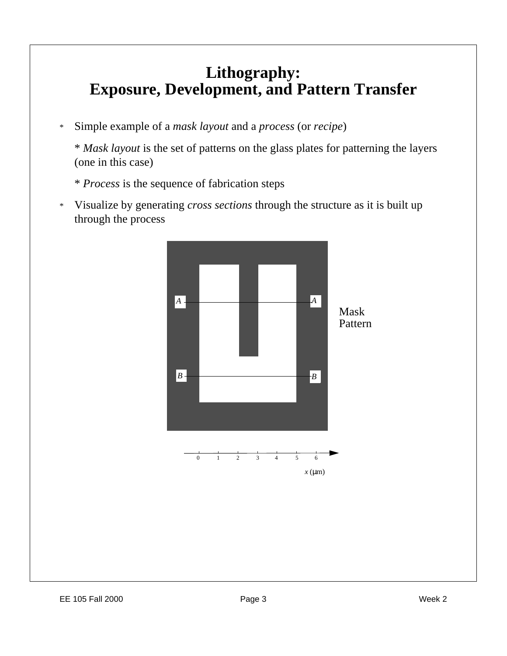### **Lithography: Exposure, Development, and Pattern Transfer**

\* Simple example of a *mask layout* and a *process* (or *recipe*)

\* *Mask layout* is the set of patterns on the glass plates for patterning the layers (one in this case)

- \* *Process* is the sequence of fabrication steps
	- *A A*  $B \rightarrow$  *B* Mask Pattern
- \* Visualize by generating *cross sections* through the structure as it is built up through the process

0 1 2 3 4 5 6

*x* (μm)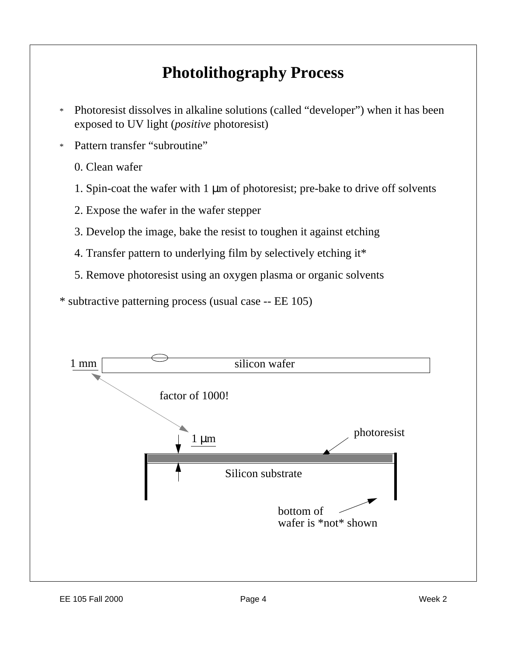## **Photolithography Process**

- \* Photoresist dissolves in alkaline solutions (called "developer") when it has been exposed to UV light (*positive* photoresist)
- \* Pattern transfer "subroutine"
	- 0. Clean wafer
	- 1. Spin-coat the wafer with 1 μm of photoresist; pre-bake to drive off solvents
	- 2. Expose the wafer in the wafer stepper
	- 3. Develop the image, bake the resist to toughen it against etching
	- 4. Transfer pattern to underlying film by selectively etching it\*
	- 5. Remove photoresist using an oxygen plasma or organic solvents

\* subtractive patterning process (usual case -- EE 105)

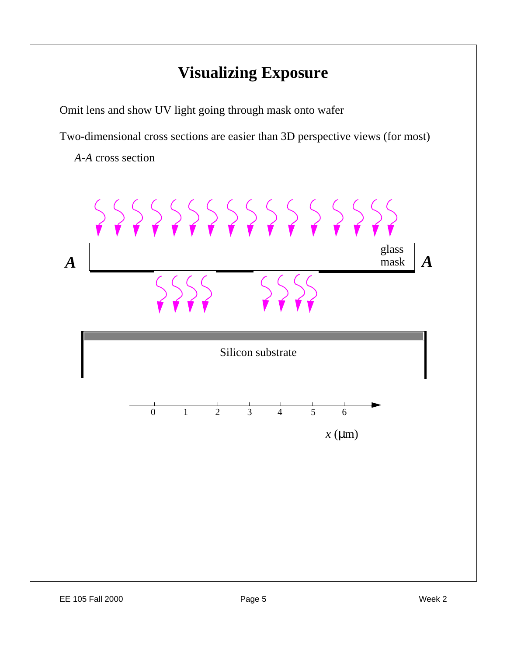## **Visualizing Exposure**

Omit lens and show UV light going through mask onto wafer

Two-dimensional cross sections are easier than 3D perspective views (for most)

*A-A* cross section

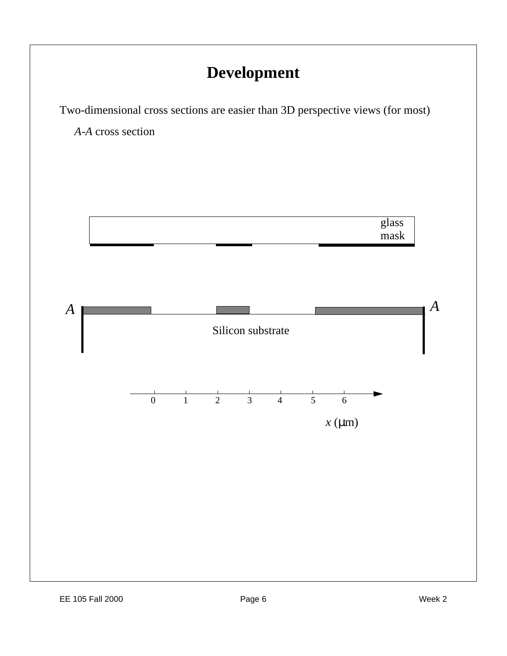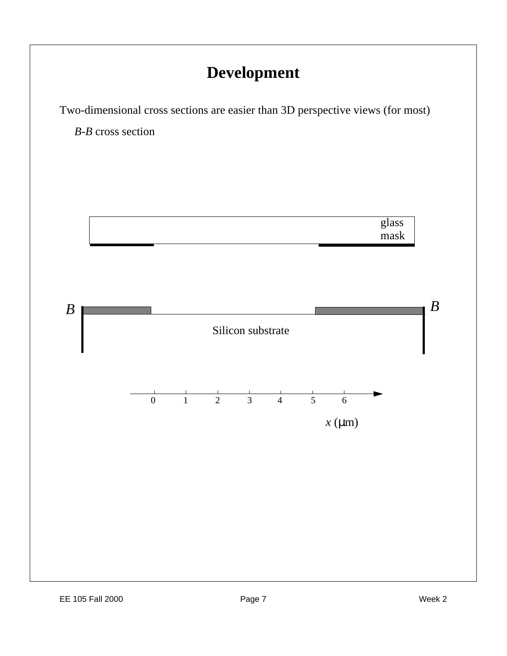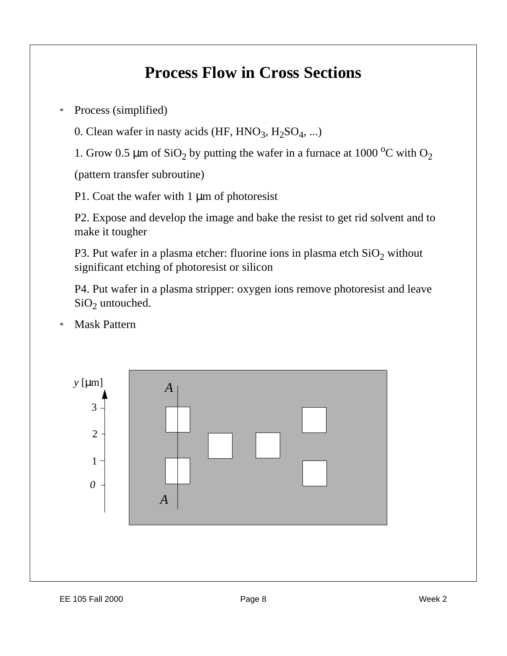### **Process Flow in Cross Sections**

\* Process (simplified)

0. Clean wafer in nasty acids  $(HF, HNO<sub>3</sub>, H<sub>2</sub>SO<sub>4</sub>, ...)$ 

1. Grow 0.5  $\mu$ m of SiO<sub>2</sub> by putting the wafer in a furnace at 1000 °C with O<sub>2</sub>

(pattern transfer subroutine)

P1. Coat the wafer with 1 μm of photoresist

P2. Expose and develop the image and bake the resist to get rid solvent and to make it tougher

P3. Put wafer in a plasma etcher: fluorine ions in plasma etch  $SiO_2$  without significant etching of photoresist or silicon

P4. Put wafer in a plasma stripper: oxygen ions remove photoresist and leave  $SiO<sub>2</sub>$  untouched.

**Mask Pattern** 

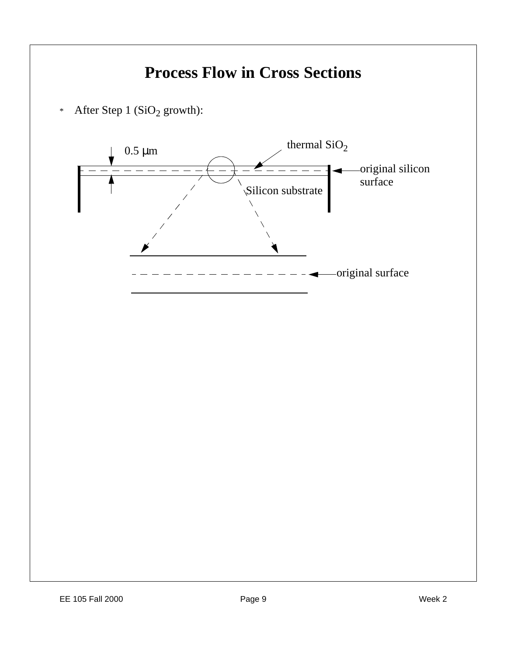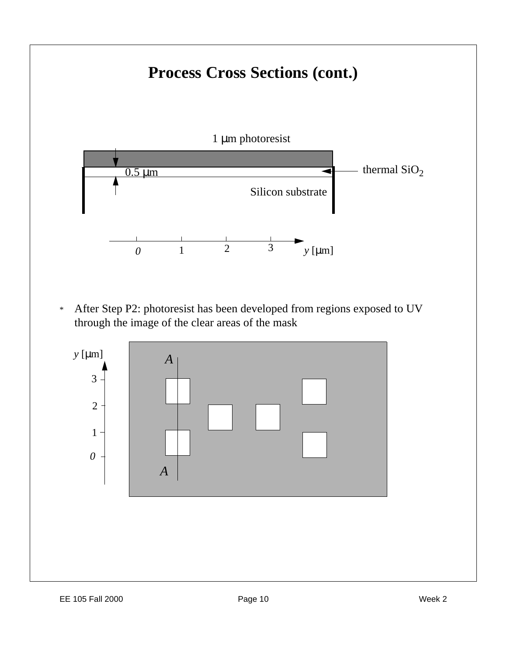# **Process Cross Sections (cont.)**



\* After Step P2: photoresist has been developed from regions exposed to UV through the image of the clear areas of the mask

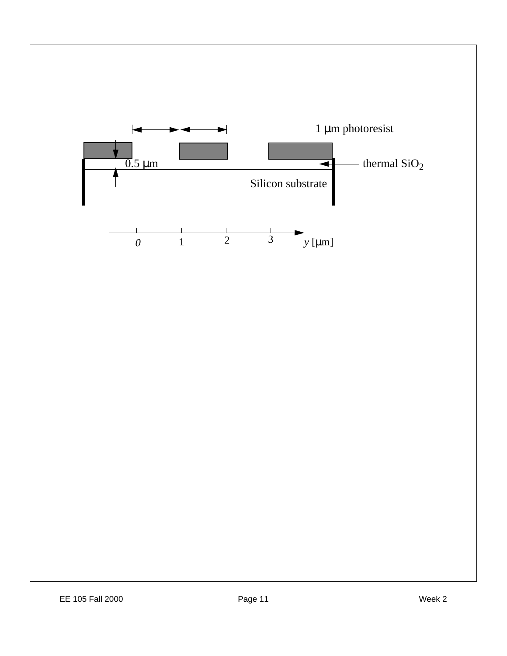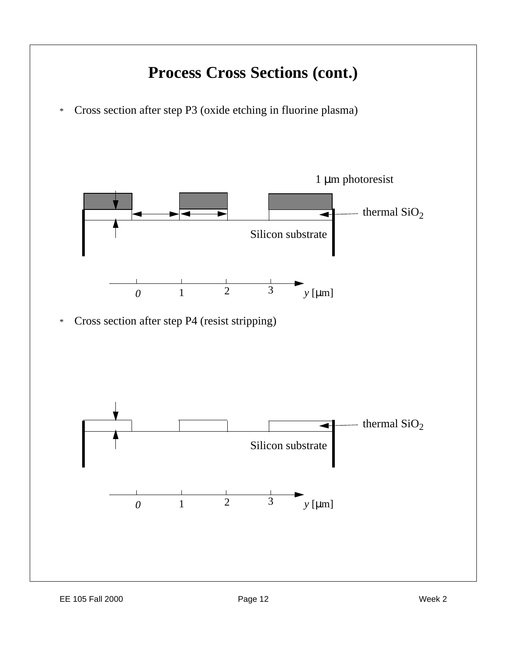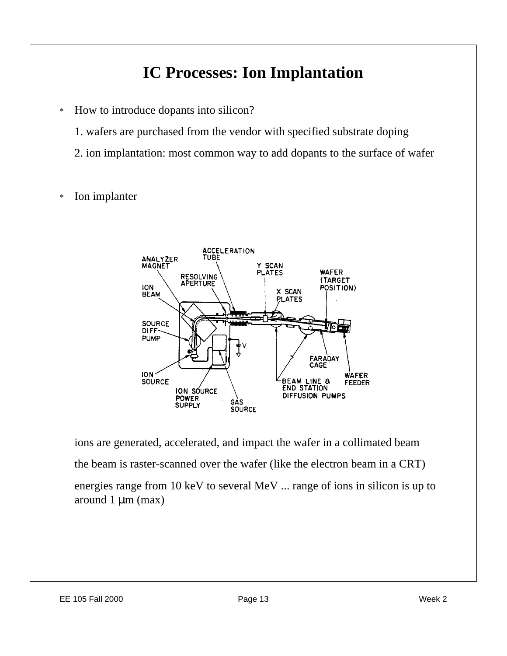## **IC Processes: Ion Implantation**

- \* How to introduce dopants into silicon?
	- 1. wafers are purchased from the vendor with specified substrate doping
	- 2. ion implantation: most common way to add dopants to the surface of wafer
- \* Ion implanter



ions are generated, accelerated, and impact the wafer in a collimated beam the beam is raster-scanned over the wafer (like the electron beam in a CRT) energies range from 10 keV to several MeV ... range of ions in silicon is up to around 1 μm (max)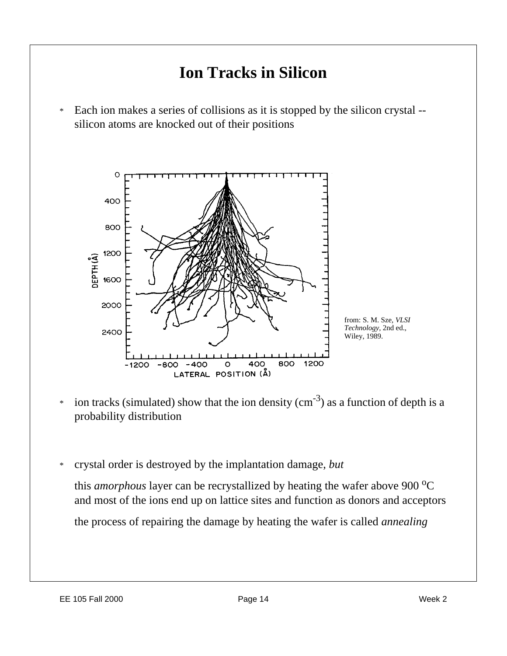

\* crystal order is destroyed by the implantation damage, *but*

this *amorphous* layer can be recrystallized by heating the wafer above 900 °C and most of the ions end up on lattice sites and function as donors and acceptors

the process of repairing the damage by heating the wafer is called *annealing*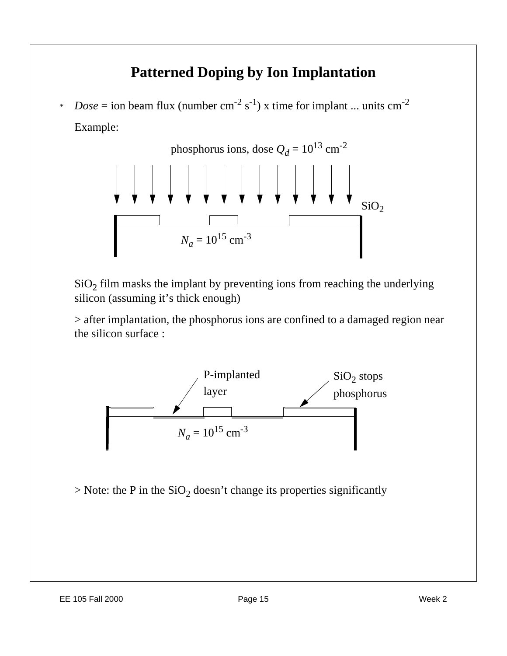#### **Patterned Doping by Ion Implantation**

\* *Dose* = ion beam flux (number  $cm^{-2} s^{-1}$ ) x time for implant ... units  $cm^{-2}$ Example:



 $SiO<sub>2</sub>$  film masks the implant by preventing ions from reaching the underlying silicon (assuming it's thick enough)

> after implantation, the phosphorus ions are confined to a damaged region near the silicon surface :



 $>$  Note: the P in the SiO<sub>2</sub> doesn't change its properties significantly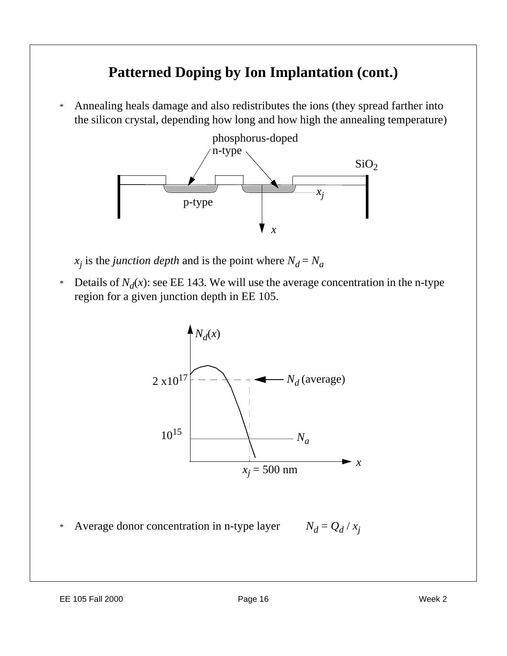#### **Patterned Doping by Ion Implantation (cont.)**

\* Annealing heals damage and also redistributes the ions (they spread farther into the silicon crystal, depending how long and how high the annealing temperature)



 $x_j$  is the *junction depth* and is the point where  $N_d = N_d$ 

\* Details of  $N_d(x)$ : see EE 143. We will use the average concentration in the n-type region for a given junction depth in EE 105.

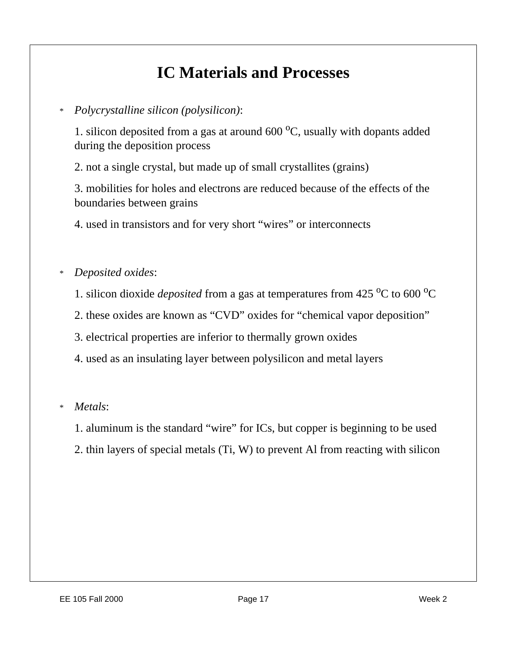## **IC Materials and Processes**

#### \* *Polycrystalline silicon (polysilicon)*:

1. silicon deposited from a gas at around  $600\,^{\circ}\text{C}$ , usually with dopants added during the deposition process

2. not a single crystal, but made up of small crystallites (grains)

3. mobilities for holes and electrons are reduced because of the effects of the boundaries between grains

4. used in transistors and for very short "wires" or interconnects

#### \* *Deposited oxides*:

- 1. silicon dioxide *deposited* from a gas at temperatures from  $425\,^{\circ}\text{C}$  to  $600\,^{\circ}\text{C}$
- 2. these oxides are known as "CVD" oxides for "chemical vapor deposition"
- 3. electrical properties are inferior to thermally grown oxides
- 4. used as an insulating layer between polysilicon and metal layers

\* *Metals*:

- 1. aluminum is the standard "wire" for ICs, but copper is beginning to be used
- 2. thin layers of special metals (Ti, W) to prevent Al from reacting with silicon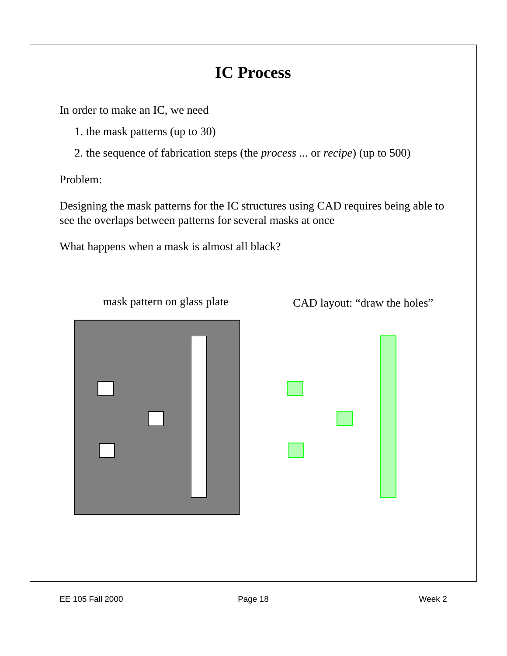## **IC Process**

In order to make an IC, we need

- 1. the mask patterns (up to 30)
- 2. the sequence of fabrication steps (the *process* ... or *recipe*) (up to 500)

Problem:

Designing the mask patterns for the IC structures using CAD requires being able to see the overlaps between patterns for several masks at once

What happens when a mask is almost all black?



mask pattern on glass plate CAD layout: "draw the holes"

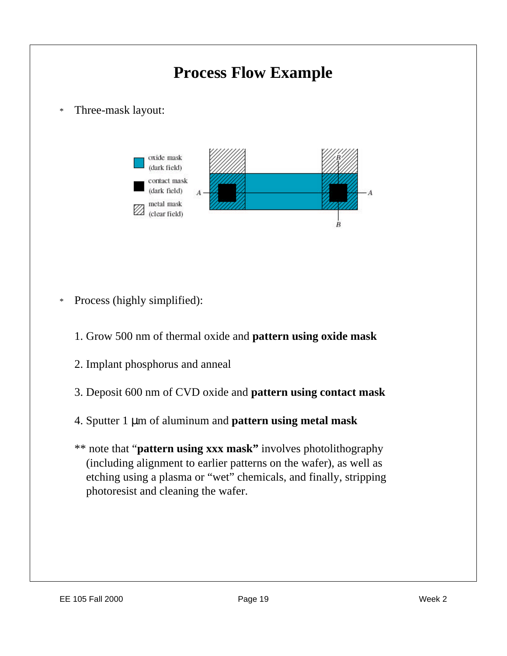

- \* Process (highly simplified):
	- 1. Grow 500 nm of thermal oxide and **pattern using oxide mask**
	- 2. Implant phosphorus and anneal
	- 3. Deposit 600 nm of CVD oxide and **pattern using contact mask**
	- 4. Sputter 1 μm of aluminum and **pattern using metal mask**
	- \*\* note that "**pattern using xxx mask"** involves photolithography (including alignment to earlier patterns on the wafer), as well as etching using a plasma or "wet" chemicals, and finally, stripping photoresist and cleaning the wafer.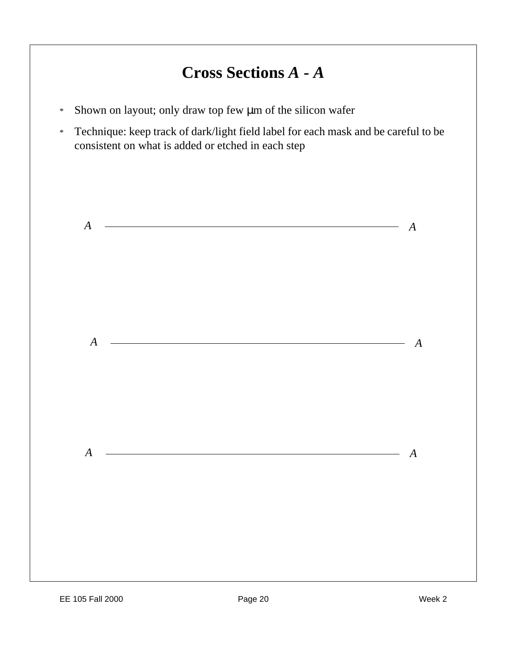## **Cross Sections** *A - A*

- \* Shown on layout; only draw top few μm of the silicon wafer
- \* Technique: keep track of dark/light field label for each mask and be careful to be consistent on what is added or etched in each step

|                  | $A \sim$                                             |  | $\boldsymbol{A}$ |
|------------------|------------------------------------------------------|--|------------------|
|                  |                                                      |  |                  |
|                  |                                                      |  |                  |
| $\boldsymbol{A}$ |                                                      |  | $\boldsymbol{A}$ |
|                  |                                                      |  |                  |
|                  |                                                      |  |                  |
| $\boldsymbol{A}$ | <u> 2002 - Jan Barnett, fransk politik (d. 1882)</u> |  | $\boldsymbol{A}$ |
|                  |                                                      |  |                  |
|                  |                                                      |  |                  |
|                  |                                                      |  |                  |
|                  |                                                      |  |                  |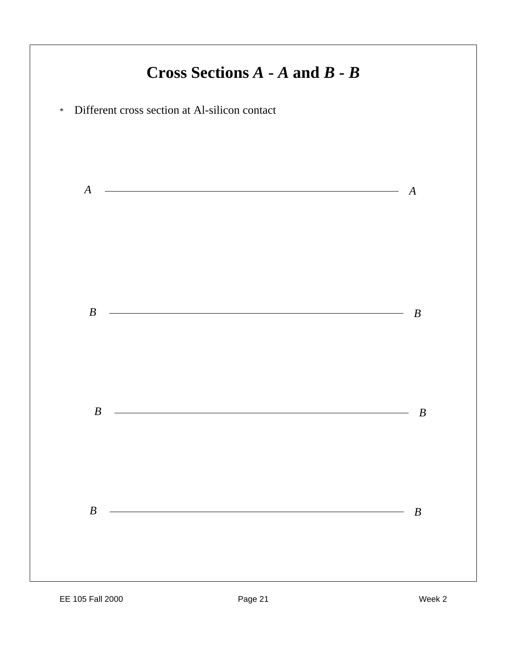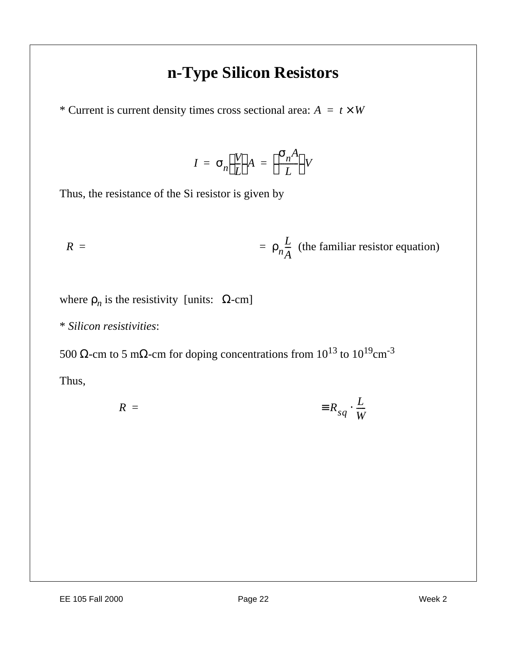### **n-Type Silicon Resistors**

\* Current is current density times cross sectional area:  $A = t \times W$ 

$$
I = \sigma_n \left(\frac{V}{L}\right) A = \left(\frac{\sigma_n A}{L}\right) V
$$

Thus, the resistance of the Si resistor is given by

$$
R = \rho_n \frac{L}{A}
$$
 (the familiar resistor equation)

where  $\rho_n$  is the resistivity [units:  $\Omega$ -cm]

\* *Silicon resistivities*:

500 Ω-cm to 5 mΩ-cm for doping concentrations from  $10^{13}$  to  $10^{19}$ cm<sup>-3</sup>

Thus,

$$
R = \qquad \qquad \equiv R_{sq} \cdot \frac{L}{W}
$$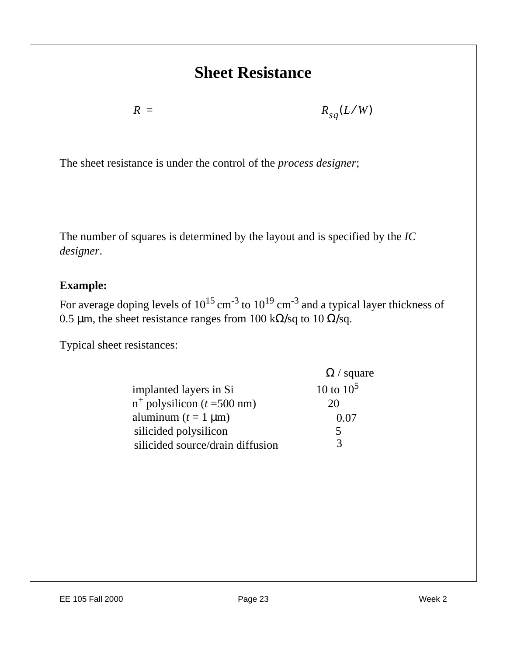### **Sheet Resistance**

 $R = R$ 

 $=$   $R_{sq}(L/W)$ 

The sheet resistance is under the control of the *process designer*;

The number of squares is determined by the layout and is specified by the *IC designer*.

#### **Example:**

For average doping levels of  $10^{15}$  cm<sup>-3</sup> to  $10^{19}$  cm<sup>-3</sup> and a typical layer thickness of 0.5 μm, the sheet resistance ranges from 100 k $\Omega$ /sq to 10  $\Omega$ /sq.

Typical sheet resistances:

|                                         | $\Omega$ / square |
|-----------------------------------------|-------------------|
| implanted layers in Si                  | 10 to $10^5$      |
| $n^{+}$ polysilicon ( <i>t</i> =500 nm) | 20                |
| aluminum $(t = 1 \mu m)$                | 0.07              |
| silicided polysilicon                   | 5                 |
| silicided source/drain diffusion        | 3                 |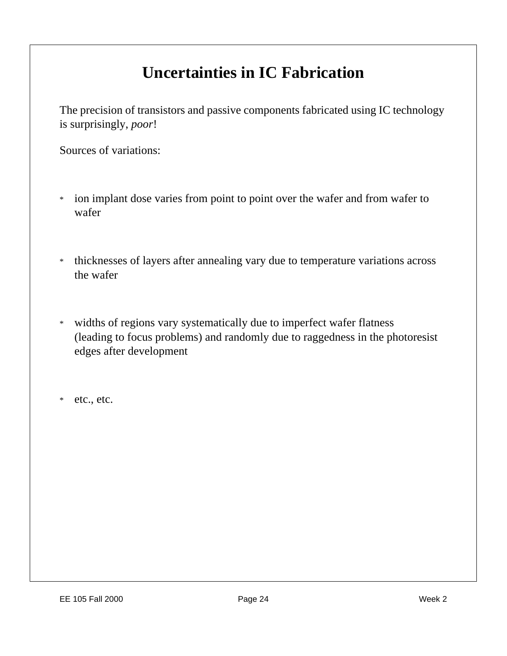## **Uncertainties in IC Fabrication**

The precision of transistors and passive components fabricated using IC technology is surprisingly, *poor*!

Sources of variations:

- \* ion implant dose varies from point to point over the wafer and from wafer to wafer
- \* thicknesses of layers after annealing vary due to temperature variations across the wafer
- \* widths of regions vary systematically due to imperfect wafer flatness (leading to focus problems) and randomly due to raggedness in the photoresist edges after development

\* etc., etc.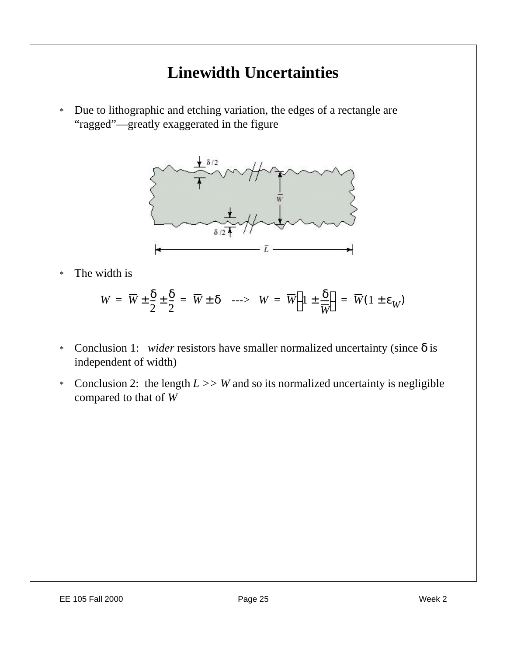## **Linewidth Uncertainties**

\* Due to lithographic and etching variation, the edges of a rectangle are "ragged"—greatly exaggerated in the figure



\* The width is

$$
W = \overline{W} \pm \frac{\delta}{2} \pm \frac{\delta}{2} = \overline{W} \pm \delta \quad \text{--->} \quad W = \overline{W} \left( 1 \pm \frac{\delta}{\overline{W}} \right) = \overline{W} (1 \pm \varepsilon_W)
$$

- \* Conclusion 1: *wider* resistors have smaller normalized uncertainty (since  $\delta$  is independent of width)
- \* Conclusion 2: the length  $L \gg W$  and so its normalized uncertainty is negligible compared to that of *W*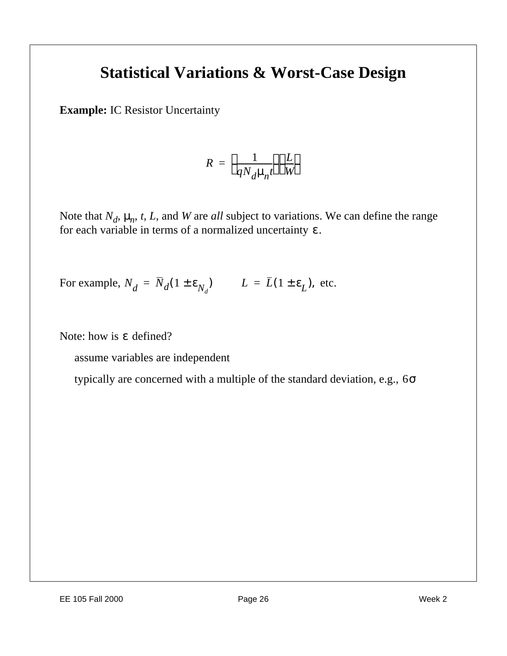#### **Statistical Variations & Worst-Case Design**

**Example:** IC Resistor Uncertainty

$$
R = \left(\frac{1}{qN_d\mu_n t}\right)\left(\frac{L}{W}\right)
$$

Note that  $N_d$ ,  $\mu_n$ , t, L, and W are *all* subject to variations. We can define the range for each variable in terms of a normalized uncertainty *.* ε

For example,  $N_d = \overline{N}_d (1 \pm \varepsilon_{N_d})$   $L = \overline{L} (1 \pm \varepsilon_L)$ , etc.

Note: how is  $\epsilon$  defined?

assume variables are independent

typically are concerned with a multiple of the standard deviation, e.g., 6σ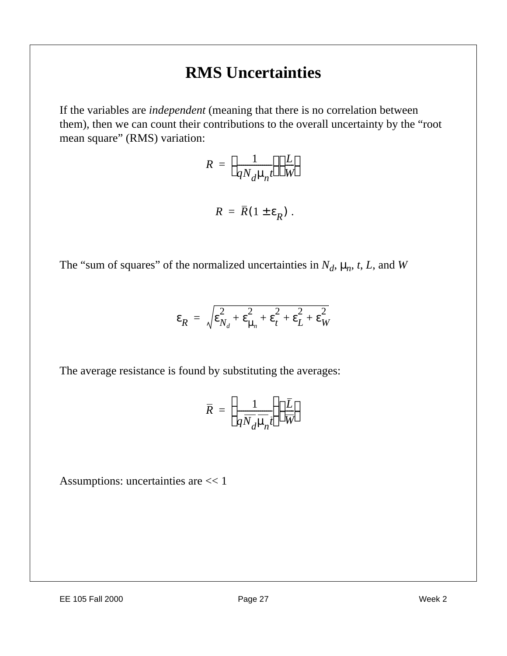## **RMS Uncertainties**

If the variables are *independent* (meaning that there is no correlation between them), then we can count their contributions to the overall uncertainty by the "root mean square" (RMS) variation:

$$
R = \left(\frac{1}{qN_d\mu_n t}\right)\left(\frac{L}{W}\right)
$$

$$
R = \overline{R} (1 \pm \varepsilon_R) \; .
$$

The "sum of squares" of the normalized uncertainties in  $N_d$ ,  $\mu_n$ , *t*, *L*, and *W* 

$$
\varepsilon_R = \sqrt{\varepsilon_{N_d}^2 + \varepsilon_{\mu_n}^2 + \varepsilon_t^2 + \varepsilon_L^2 + \varepsilon_W^2}
$$

The average resistance is found by substituting the averages:

$$
\overline{R} = \left(\frac{1}{q\overline{N}_d\mu_n t}\right)\left(\frac{\overline{L}}{\overline{W}}\right)
$$

Assumptions: uncertainties are << 1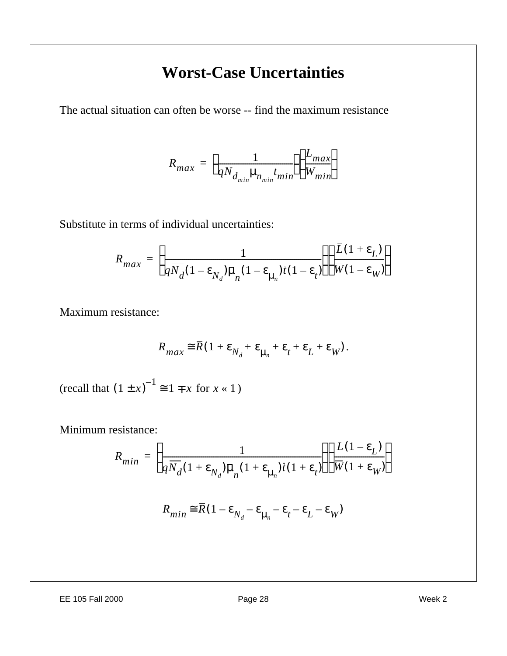## **Worst-Case Uncertainties**

The actual situation can often be worse -- find the maximum resistance

$$
R_{max} = \left(\frac{1}{qN_{d_{min}}\mu_{n_{min}}t_{min}}\right)\left(\frac{L_{max}}{W_{min}}\right)
$$

Substitute in terms of individual uncertainties:

$$
R_{max} = \left(\frac{1}{q\overline{N}_d(1-\epsilon_{N_d})\overline{\mu}_n(1-\epsilon_{\mu_n})i(1-\epsilon_t)}\right) \left(\frac{\overline{L}(1+\epsilon_L)}{\overline{W}(1-\epsilon_W)}\right)
$$

Maximum resistance:

$$
R_{max} \equiv \overline{R}(1 + \varepsilon_{N_d} + \varepsilon_{\mu_n} + \varepsilon_t + \varepsilon_L + \varepsilon_W).
$$

 $(\text{recall that } (1 \pm x)^{-1} \cong 1 \mp x \text{ for } x \le 1)$ 

Minimum resistance:

$$
R_{min} = \left(\frac{1}{q\overline{N}_d(1+\epsilon_{N_d})\overline{\mu}_n(1+\epsilon_{\mu_n})t(1+\epsilon_t)}\right) \left(\frac{\overline{L}(1-\epsilon_L)}{\overline{W}(1+\epsilon_W)}\right)
$$

$$
R_{min} \cong \overline{R} (1 - \varepsilon_{N_d} - \varepsilon_{\mu_n} - \varepsilon_t - \varepsilon_L - \varepsilon_W)
$$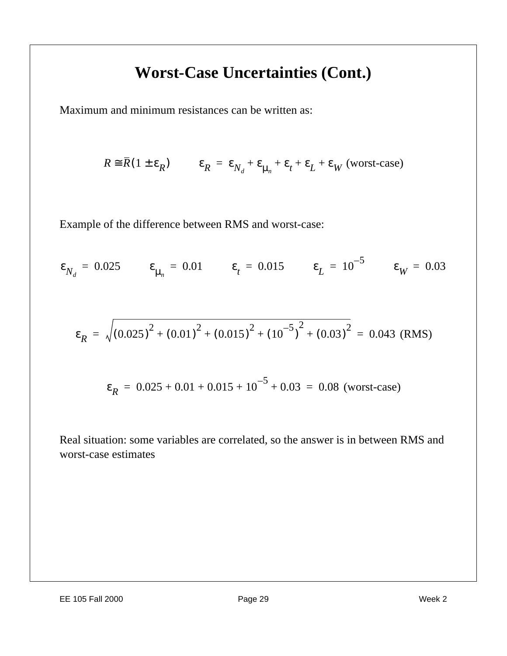## **Worst-Case Uncertainties (Cont.)**

Maximum and minimum resistances can be written as:

$$
R \cong \overline{R} (1 \pm \varepsilon_R) \qquad \varepsilon_R = \varepsilon_{N_d} + \varepsilon_{\mu_n} + \varepsilon_t + \varepsilon_L + \varepsilon_W \text{ (worst-case)}
$$

Example of the difference between RMS and worst-case:

$$
\varepsilon_{N_d} = 0.025
$$
  $\varepsilon_{\mu_n} = 0.01$   $\varepsilon_t = 0.015$   $\varepsilon_L = 10^{-5}$   $\varepsilon_W = 0.03$ 

$$
\varepsilon_R = \sqrt{(0.025)^2 + (0.01)^2 + (0.015)^2 + (10^{-5})^2 + (0.03)^2} = 0.043
$$
 (RMS)

$$
\varepsilon_R = 0.025 + 0.01 + 0.015 + 10^{-5} + 0.03 = 0.08 \text{ (worst-case)}
$$

Real situation: some variables are correlated, so the answer is in between RMS and worst-case estimates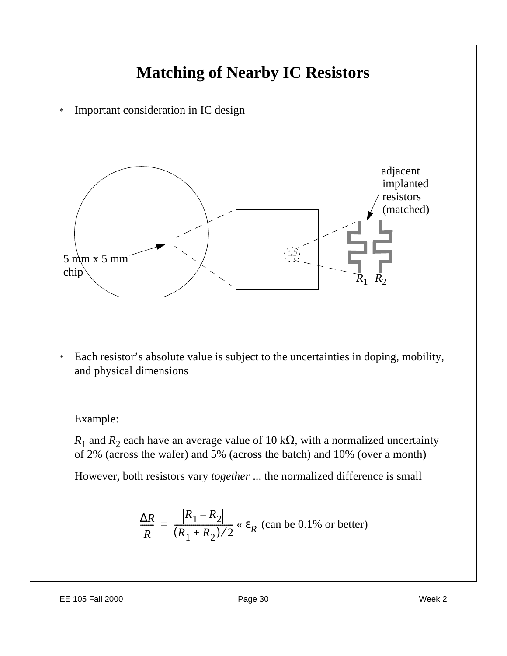

\* Each resistor's absolute value is subject to the uncertainties in doping, mobility, and physical dimensions

#### Example:

 $R_1$  and  $R_2$  each have an average value of 10 k $\Omega$ , with a normalized uncertainty of 2% (across the wafer) and 5% (across the batch) and 10% (over a month)

However, both resistors vary *together* ... the normalized difference is small

$$
\frac{\Delta R}{\overline{R}} = \frac{\left|R_1 - R_2\right|}{(R_1 + R_2)/2} \propto \varepsilon_R \text{ (can be 0.1\% or better)}
$$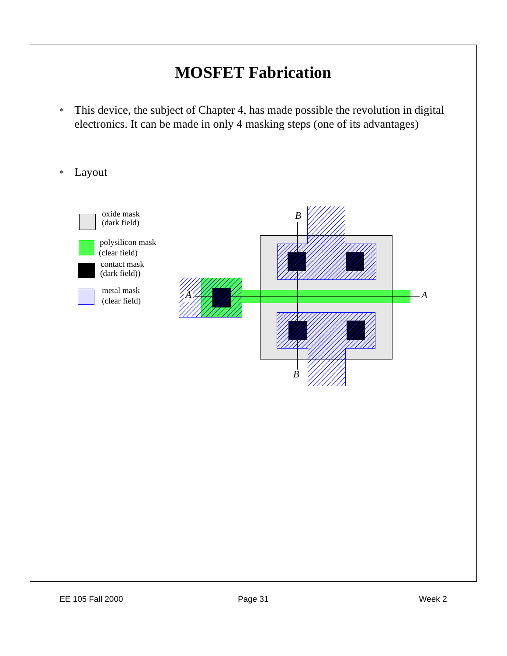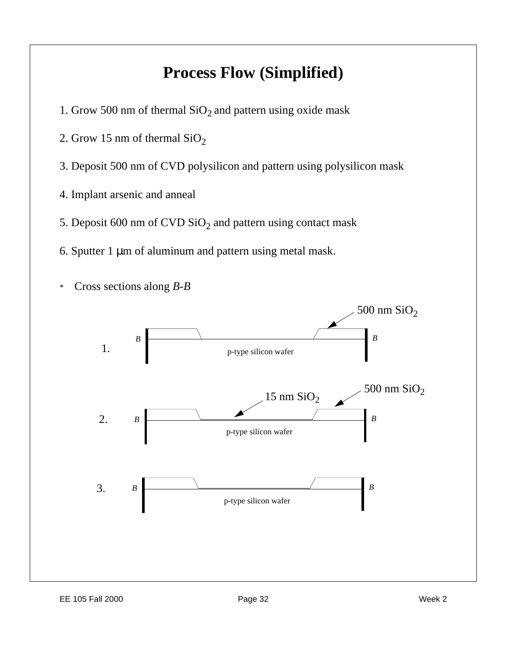## **Process Flow (Simplified)**

- 1. Grow 500 nm of thermal  $SiO<sub>2</sub>$  and pattern using oxide mask
- 2. Grow 15 nm of thermal  $SiO<sub>2</sub>$
- 3. Deposit 500 nm of CVD polysilicon and pattern using polysilicon mask
- 4. Implant arsenic and anneal
- 5. Deposit 600 nm of CVD  $\rm SiO_2$  and pattern using contact mask
- 6. Sputter 1 μm of aluminum and pattern using metal mask.



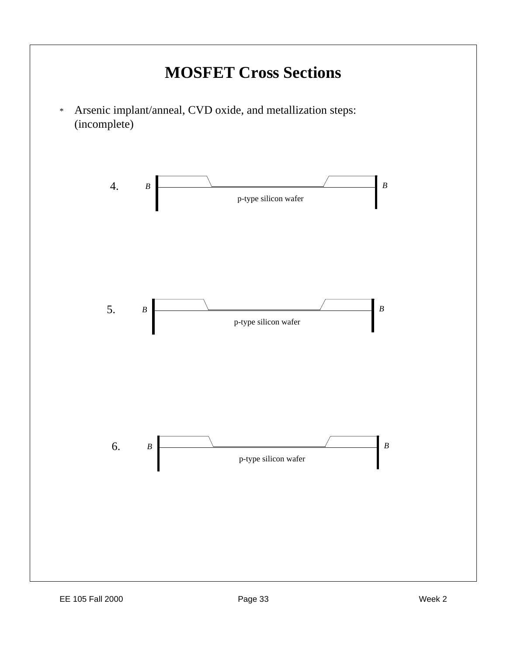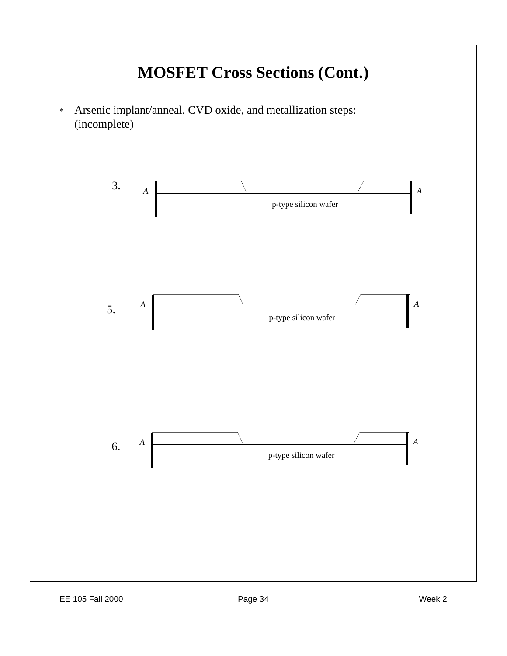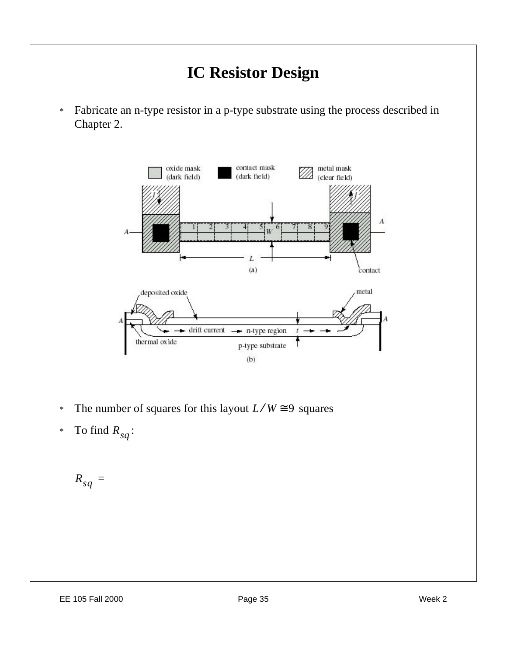

- <sup>\*</sup> The number of squares for this layout  $L/W \cong 9$  squares
- \* To find  $R_{sq}$ :

$$
R_{sq} =
$$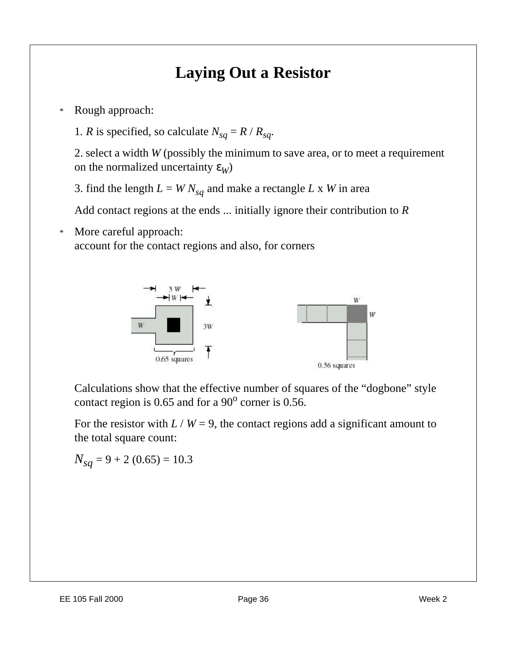## **Laying Out a Resistor**

\* Rough approach:

1*. R* is specified, so calculate  $N_{sa} = R / R_{sa}$ .

2. select a width *W* (possibly the minimum to save area, or to meet a requirement on the normalized uncertainty  $\varepsilon_W$ )

3. find the length  $L = W N_{sq}$  and make a rectangle  $L \times W$  in area

Add contact regions at the ends ... initially ignore their contribution to *R*

\* More careful approach: account for the contact regions and also, for corners



Calculations show that the effective number of squares of the "dogbone" style contact region is 0.65 and for a  $90^{\circ}$  corner is 0.56.

For the resistor with  $L / W = 9$ , the contact regions add a significant amount to the total square count:

 $N_{sa}$  = 9 + 2 (0.65) = 10.3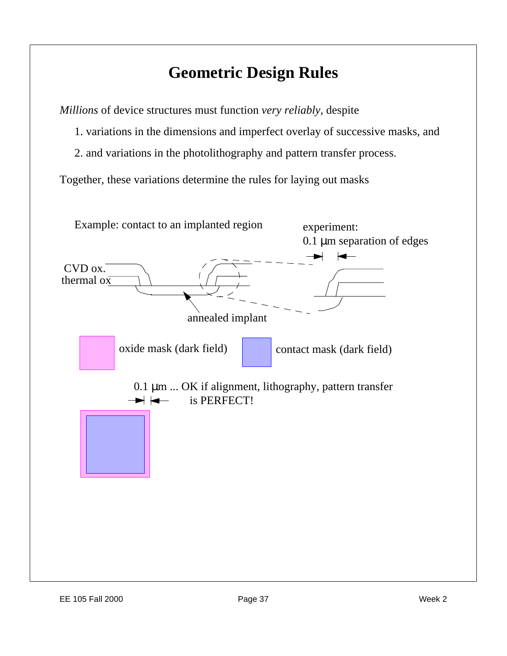## **Geometric Design Rules**

*Millions* of device structures must function *very reliably*, despite

- 1. variations in the dimensions and imperfect overlay of successive masks, and
- 2. and variations in the photolithography and pattern transfer process.

Together, these variations determine the rules for laying out masks

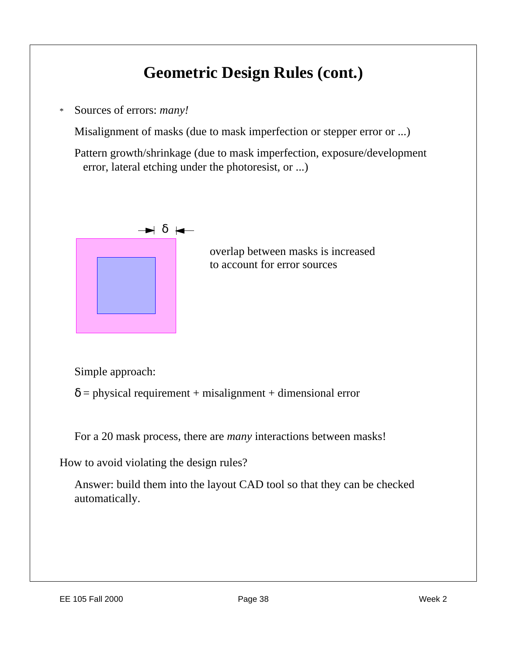## **Geometric Design Rules (cont.)**

\* Sources of errors: *many!*

Misalignment of masks (due to mask imperfection or stepper error or ...)

Pattern growth/shrinkage (due to mask imperfection, exposure/development error, lateral etching under the photoresist, or ...)



overlap between masks is increased to account for error sources

Simple approach:

 $\delta$  = physical requirement + misalignment + dimensional error

For a 20 mask process, there are *many* interactions between masks!

How to avoid violating the design rules?

Answer: build them into the layout CAD tool so that they can be checked automatically.